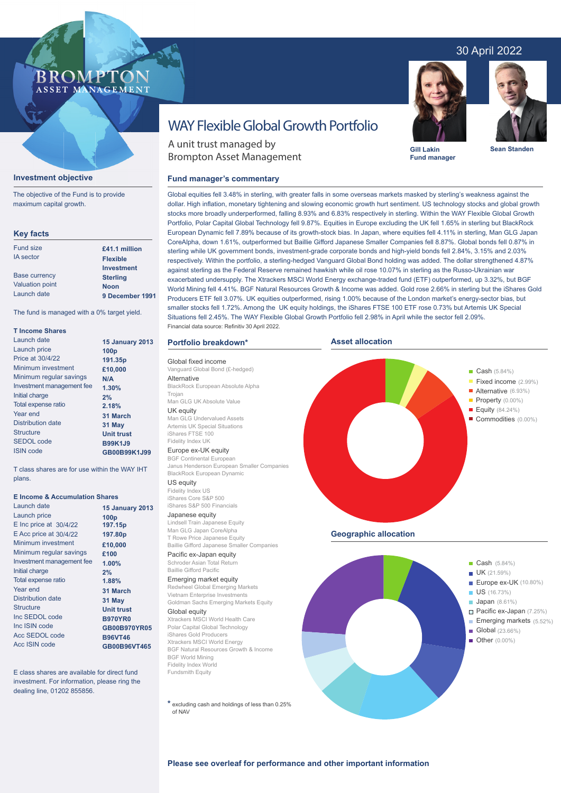## 30 April 2022



**Fund manager**



**Sean Standen**

# WAY Flexible Global Growth Portfolio

A unit trust managed by Brompton Asset Management

#### **Fund manager's commentary**

dollar. High inflation, monetary tightening and slowing economic growth hurt sentiment. US technology stocks and global growth stocks more broadly underperformed, falling 8.93% and 6.83% respectively in sterling. Within the WAY Flexible Global Growth Portfolio, Polar Capital Global Technology fell 9.87%. Equities in Europe excluding the UK fell 1.65% in sterling but BlackRock European Dynamic fell 7.89% because of its growth-stock bias. In Japan, where equities fell 4.11% in sterling, Man GLG Japan CoreAlpha, down 1.61%, outperformed but Baillie Gifford Japanese Smaller Companies fell 8.87%. Global bonds fell 0.87% in sterling while UK government bonds, investment-grade corporate bonds and high-yield bonds fell 2.84%, 3.15% and 2.03% respectively. Within the portfolio, a sterling-hedged Vanguard Global Bond holding was added. The dollar strengthened 4.87% against sterling as the Federal Reserve remained hawkish while oil rose 10.07% in sterling as the Russo-Ukrainian war exacerbated undersupply. The Xtrackers MSCI World Energy exchange-traded fund (ETF) outperformed, up 3.32%, but BGF World Mining fell 4.41%. BGF Natural Resources Growth & Income was added. Gold rose 2.66% in sterling but the iShares Gold Producers ETF fell 3.07%. UK equities outperformed, rising 1.00% because of the London market's energy-sector bias, but smaller stocks fell 1.72%. Among the UK equity holdings, the iShares FTSE 100 ETF rose 0.73% but Artemis UK Special Situations fell 2.45%. The WAY Flexible Global Growth Portfolio fell 2.98% in April while the sector fell 2.09%. Financial data source: Refinitiv 30 April 2022.

Global equities fell 3.48% in sterling, with greater falls in some overseas markets masked by sterling's weakness against the

#### **Portfolio breakdown\***

Global fixed income Vanguard Global Bond (£-hedged) **Alternative** BlackRock European Absolute Alpha Trojan

Man GLG UK Absolute Value UK equity Man GLG Undervalued Assets Artemis UK Special Situations

#### iShares FTSE 100 Fidelity Index UK Europe ex-UK equity

BGF Continental European

Janus Henderson European Smaller Companies BlackRock European Dynamic

US equity

Fidelity Index US iShares Core S&P 500 iShares S&P 500 Financials

#### Japanese equity

Lindsell Train Japanese Equity Man GLG Japan CoreAlpha T Rowe Price Japanese Equity Baillie Gifford Japanese Smaller Companies

Pacific ex-Japan equity Schroder Asian Total Return

#### Baillie Gifford Pacific Emerging market equity

Redwheel Global Emerging Markets Vietnam Enterprise Investments Goldman Sachs Emerging Markets Equity

#### Global equity

Xtrackers MSCI World Health Care Polar Capital Global Technology iShares Gold Producers Xtrackers MSCI World Energy BGF Natural Resources Growth & Income BGF World Mining Fidelity Index World Fundsmith Equity

**\*** excluding cash and holdings of less than 0.25% of NAV





# **Investment objective**

ASSET MANAGEMENT

The objective of the Fund is to provide maximum capital growth.

**BROMP** 

#### **Key facts**

| £41.1 million     |
|-------------------|
| <b>Flexible</b>   |
| <b>Investment</b> |
| <b>Sterling</b>   |
| <b>Noon</b>       |
| 9 December 1991   |
|                   |

The fund is managed with a 0% target yield.

#### **T Income Shares**

| Launch date               | <b>15 January 2013</b> |
|---------------------------|------------------------|
| Launch price              | 100 <sub>p</sub>       |
| Price at 30/4/22          | 191.35p                |
| Minimum investment        | £10,000                |
| Minimum regular savings   | N/A                    |
| Investment management fee | 1.30%                  |
| Initial charge            | 2%                     |
| Total expense ratio       | 2.18%                  |
| Year end                  | 31 March               |
| Distribution date         | 31 May                 |
| <b>Structure</b>          | <b>Unit trust</b>      |
| <b>SEDOL</b> code         | <b>B99K1J9</b>         |
| <b>ISIN</b> code          | GB00B99K1J99           |
|                           |                        |

T class shares are for use within the WAY IHT plans.

#### **E Income & Accumulation Shares**

| Launch date                | <b>15 January 2013</b> |
|----------------------------|------------------------|
| Launch price               | 100 <sub>p</sub>       |
| $E$ Inc price at $30/4/22$ | 197.15p                |
| E Acc price at 30/4/22     | 197.80p                |
| Minimum investment         | £10,000                |
| Minimum regular savings    | £100                   |
| Investment management fee  | 1.00%                  |
| Initial charge             | 2%                     |
| Total expense ratio        | 1.88%                  |
| Year end                   | 31 March               |
| <b>Distribution date</b>   | 31 May                 |
| <b>Structure</b>           | <b>Unit trust</b>      |
| Inc SEDOL code             | <b>B970YR0</b>         |
| Inc ISIN code              | GB00B970YR05           |
| Acc SEDOL code             | <b>B96VT46</b>         |
| Acc ISIN code              | GB00B96VT465           |
|                            |                        |

E class shares are available for direct fund investment. For information, please ring the dealing line, 01202 855856.